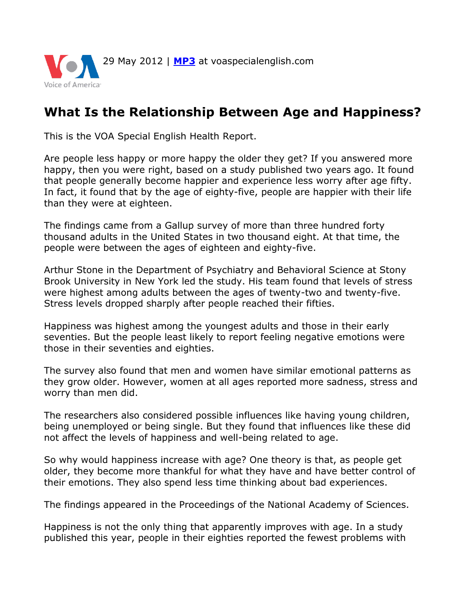

## **What Is the Relationship Between Age and Happiness?**

This is the VOA Special English Health Report.

Are people less happy or more happy the older they get? If you answered more happy, then you were right, based on a study published two years ago. It found that people generally become happier and experience less worry after age fifty. In fact, it found that by the age of eighty-five, people are happier with their life than they were at eighteen.

The findings came from a Gallup survey of more than three hundred forty thousand adults in the United States in two thousand eight. At that time, the people were between the ages of eighteen and eighty-five.

Arthur Stone in the Department of Psychiatry and Behavioral Science at Stony Brook University in New York led the study. His team found that levels of stress were highest among adults between the ages of twenty-two and twenty-five. Stress levels dropped sharply after people reached their fifties.

Happiness was highest among the youngest adults and those in their early seventies. But the people least likely to report feeling negative emotions were those in their seventies and eighties.

The survey also found that men and women have similar emotional patterns as they grow older. However, women at all ages reported more sadness, stress and worry than men did.

The researchers also considered possible influences like having young children, being unemployed or being single. But they found that influences like these did not affect the levels of happiness and well-being related to age.

So why would happiness increase with age? One theory is that, as people get older, they become more thankful for what they have and have better control of their emotions. They also spend less time thinking about bad experiences.

The findings appeared in the Proceedings of the National Academy of Sciences.

Happiness is not the only thing that apparently improves with age. In a study published this year, people in their eighties reported the fewest problems with